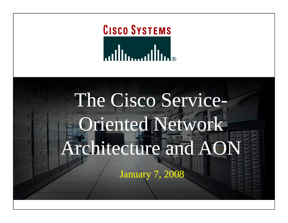

# The Cisco Service-Oriented Network Architecture and AON

January 7, 2008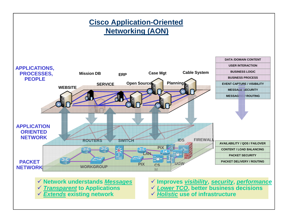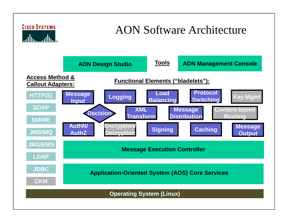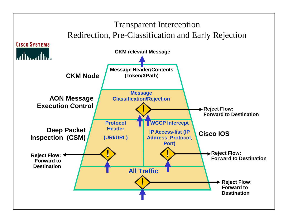## Transparent Interception Redirection, Pre-Classification and Early Rejection